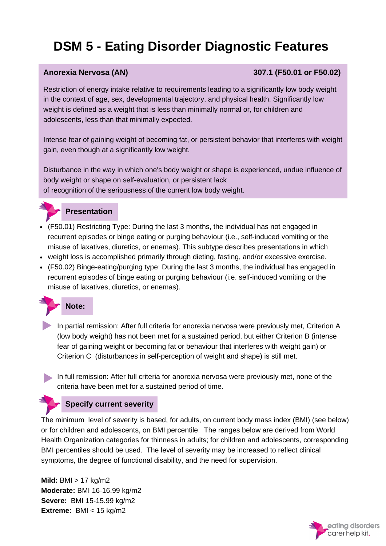### **Anorexia Nervosa (AN) 307.1 (F50.01 or F50.02)**

Restriction of energy intake relative to requirements leading to a significantly low body weight in the context of age, sex, developmental trajectory, and physical health. Significantly low weight is defined as a weight that is less than minimally normal or, for children and adolescents, less than that minimally expected.

Intense fear of gaining weight of becoming fat, or persistent behavior that interferes with weight gain, even though at a significantly low weight.

Disturbance in the way in which one's body weight or shape is experienced, undue influence of body weight or shape on self-evaluation, or persistent lack of recognition of the seriousness of the current low body weight.



## **Presentation**

- (F50.01) Restricting Type: During the last 3 months, the individual has not engaged in recurrent episodes or binge eating or purging behaviour (i.e., self-induced vomiting or the misuse of laxatives, diuretics, or enemas). This subtype describes presentations in which
- weight loss is accomplished primarily through dieting, fasting, and/or excessive exercise.
- (F50.02) Binge-eating/purging type: During the last 3 months, the individual has engaged in recurrent episodes of binge eating or purging behaviour (i.e. self-induced vomiting or the misuse of laxatives, diuretics, or enemas).



In partial remission: After full criteria for anorexia nervosa were previously met, Criterion A (low body weight) has not been met for a sustained period, but either Criterion B (intense fear of gaining weight or becoming fat or behaviour that interferes with weight gain) or Criterion C (disturbances in self-perception of weight and shape) is still met.

In full remission: After full criteria for anorexia nervosa were previously met, none of the criteria have been met for a sustained period of time.

## **Specify current severity**

The minimum level of severity is based, for adults, on current body mass index (BMI) (see below) or for children and adolescents, on BMI percentile. The ranges below are derived from World Health Organization categories for thinness in adults; for children and adolescents, corresponding BMI percentiles should be used. The level of severity may be increased to reflect clinical symptoms, the degree of functional disability, and the need for supervision.

**Mild:** BMI > 17 kg/m2 **Moderate:** BMI 16-16.99 kg/m2 **Severe:** BMI 15-15.99 kg/m2 **Extreme:** BMI < 15 kg/m2

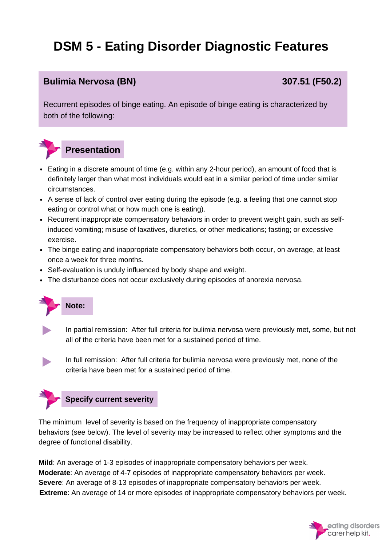## **Bulimia Nervosa (BN) 307.51 (F50.2)**

Recurrent episodes of binge eating. An episode of binge eating is characterized by both of the following:



- Eating in a discrete amount of time (e.g. within any 2-hour period), an amount of food that is definitely larger than what most individuals would eat in a similar period of time under similar circumstances.
- A sense of lack of control over eating during the episode (e.g. a feeling that one cannot stop eating or control what or how much one is eating).
- Recurrent inappropriate compensatory behaviors in order to prevent weight gain, such as selfinduced vomiting; misuse of laxatives, diuretics, or other medications; fasting; or excessive exercise.
- The binge eating and inappropriate compensatory behaviors both occur, on average, at least once a week for three months.
- Self-evaluation is unduly influenced by body shape and weight.
- The disturbance does not occur exclusively during episodes of anorexia nervosa.



In partial remission: After full criteria for bulimia nervosa were previously met, some, but not all of the criteria have been met for a sustained period of time.

In full remission: After full criteria for bulimia nervosa were previously met, none of the criteria have been met for a sustained period of time.



The minimum level of severity is based on the frequency of inappropriate compensatory behaviors (see below). The level of severity may be increased to reflect other symptoms and the degree of functional disability.

**Mild**: An average of 1-3 episodes of inappropriate compensatory behaviors per week. **Moderate**: An average of 4-7 episodes of inappropriate compensatory behaviors per week. **Severe**: An average of 8-13 episodes of inappropriate compensatory behaviors per week. **Extreme**: An average of 14 or more episodes of inappropriate compensatory behaviors per week.

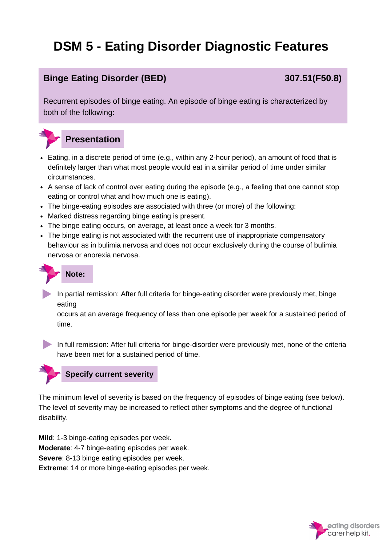# **Binge Eating Disorder (BED) 307.51(F50.8)**

Recurrent episodes of binge eating. An episode of binge eating is characterized by both of the following:



- Eating, in a discrete period of time (e.g., within any 2-hour period), an amount of food that is definitely larger than what most people would eat in a similar period of time under similar circumstances.
- A sense of lack of control over eating during the episode (e.g., a feeling that one cannot stop eating or control what and how much one is eating).
- The binge-eating episodes are associated with three (or more) of the following:
- Marked distress regarding binge eating is present.
- The binge eating occurs, on average, at least once a week for 3 months.
- The binge eating is not associated with the recurrent use of inappropriate compensatory behaviour as in bulimia nervosa and does not occur exclusively during the course of bulimia nervosa or anorexia nervosa.



In partial remission: After full criteria for binge-eating disorder were previously met, binge eating

occurs at an average frequency of less than one episode per week for a sustained period of time.

In full remission: After full criteria for binge-disorder were previously met, none of the criteria have been met for a sustained period of time.



The minimum level of severity is based on the frequency of episodes of binge eating (see below). The level of severity may be increased to reflect other symptoms and the degree of functional disability.

**Mild**: 1-3 binge-eating episodes per week. **Moderate**: 4-7 binge-eating episodes per week. **Severe**: 8-13 binge eating episodes per week. **Extreme**: 14 or more binge-eating episodes per week.

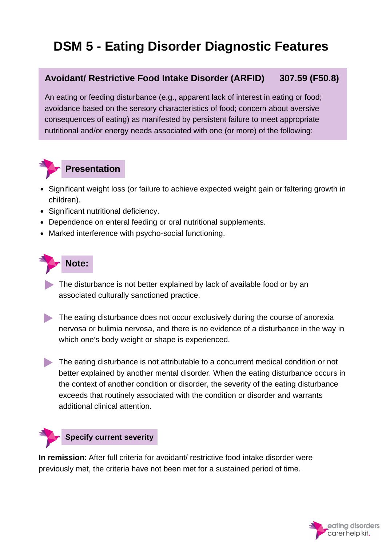# **Avoidant/ Restrictive Food Intake Disorder (ARFID) 307.59 (F50.8)**

An eating or feeding disturbance (e.g., apparent lack of interest in eating or food; avoidance based on the sensory characteristics of food; concern about aversive consequences of eating) as manifested by persistent failure to meet appropriate nutritional and/or energy needs associated with one (or more) of the following:



## **Presentation**

- Significant weight loss (or failure to achieve expected weight gain or faltering growth in children).
- Significant nutritional deficiency.
- Dependence on enteral feeding or oral nutritional supplements.
- Marked interference with psycho-social functioning.

# **Note:**

- The disturbance is not better explained by lack of available food or by an associated culturally sanctioned practice.
- The eating disturbance does not occur exclusively during the course of anorexia nervosa or bulimia nervosa, and there is no evidence of a disturbance in the way in which one's body weight or shape is experienced.
- The eating disturbance is not attributable to a concurrent medical condition or not better explained by another mental disorder. When the eating disturbance occurs in the context of another condition or disorder, the severity of the eating disturbance exceeds that routinely associated with the condition or disorder and warrants additional clinical attention.

## **Specify current severity**

**In remission**: After full criteria for avoidant/ restrictive food intake disorder were previously met, the criteria have not been met for a sustained period of time.